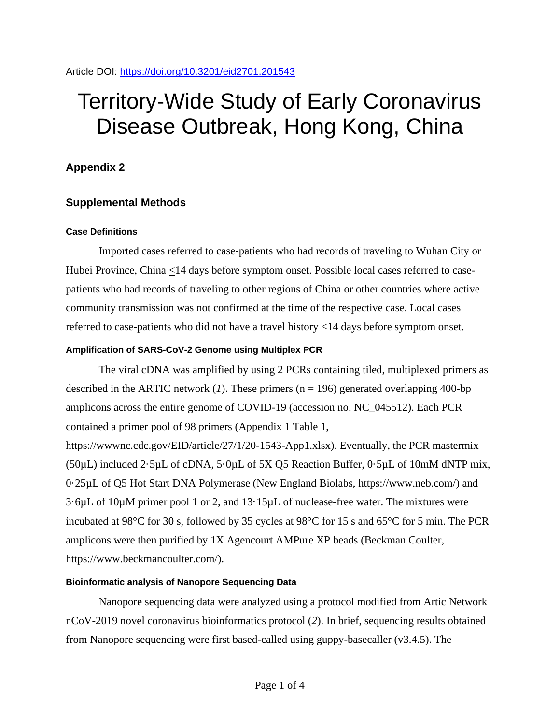# Territory-Wide Study of Early Coronavirus Disease Outbreak, Hong Kong, China

# **Appendix 2**

# **Supplemental Methods**

#### **Case Definitions**

Imported cases referred to case-patients who had records of traveling to Wuhan City or Hubei Province, China <14 days before symptom onset. Possible local cases referred to casepatients who had records of traveling to other regions of China or other countries where active community transmission was not confirmed at the time of the respective case. Local cases referred to case-patients who did not have a travel history  $\leq$  14 days before symptom onset.

### **Amplification of SARS-CoV-2 Genome using Multiplex PCR**

The viral cDNA was amplified by using 2 PCRs containing tiled, multiplexed primers as described in the ARTIC network  $(1)$ . These primers  $(n = 196)$  generated overlapping 400-bp amplicons across the entire genome of COVID-19 (accession no. NC\_045512). Each PCR contained a primer pool of 98 primers (Appendix 1 Table 1,

https://wwwnc.cdc.gov/EID/article/27/1/20-1543-App1.xlsx). Eventually, the PCR mastermix  $(50\mu L)$  included 2.5 $\mu L$  of cDNA, 5.0 $\mu L$  of 5X Q5 Reaction Buffer, 0.5 $\mu L$  of 10mM dNTP mix, 0·25µL of Q5 Hot Start DNA Polymerase (New England Biolabs, https://www.neb.com/) and 3·6µL of 10µM primer pool 1 or 2, and 13·15µL of nuclease-free water. The mixtures were incubated at 98°C for 30 s, followed by 35 cycles at 98°C for 15 s and 65°C for 5 min. The PCR amplicons were then purified by 1X Agencourt AMPure XP beads (Beckman Coulter, https://www.beckmancoulter.com/).

## **Bioinformatic analysis of Nanopore Sequencing Data**

Nanopore sequencing data were analyzed using a protocol modified from Artic Network nCoV-2019 novel coronavirus bioinformatics protocol (*2*). In brief, sequencing results obtained from Nanopore sequencing were first based-called using guppy-basecaller (v3.4.5). The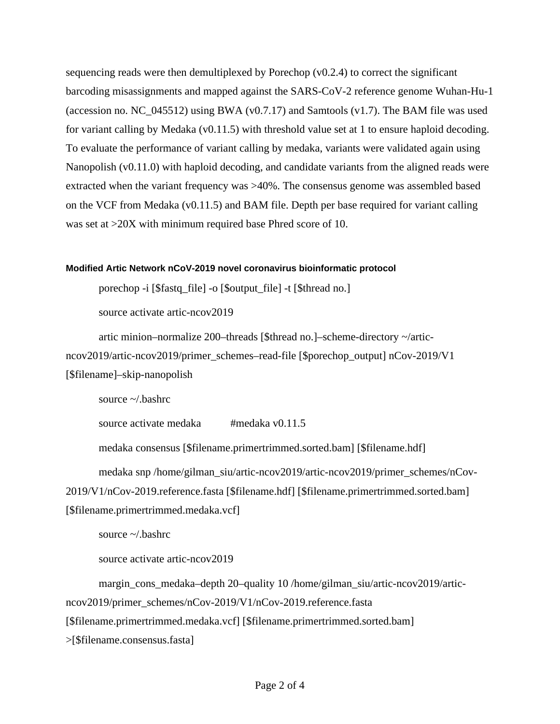sequencing reads were then demultiplexed by Porechop  $(v0.2.4)$  to correct the significant barcoding misassignments and mapped against the SARS-CoV-2 reference genome Wuhan-Hu-1 (accession no. NC\_045512) using BWA (v0.7.17) and Samtools (v1.7). The BAM file was used for variant calling by Medaka (v0.11.5) with threshold value set at 1 to ensure haploid decoding. To evaluate the performance of variant calling by medaka, variants were validated again using Nanopolish (v0.11.0) with haploid decoding, and candidate variants from the aligned reads were extracted when the variant frequency was >40%. The consensus genome was assembled based on the VCF from Medaka (v0.11.5) and BAM file. Depth per base required for variant calling was set at  $>20X$  with minimum required base Phred score of 10.

#### **Modified Artic Network nCoV-2019 novel coronavirus bioinformatic protocol**

porechop -i [\$fastq\_file] -o [\$output\_file] -t [\$thread no.]

source activate artic-ncov2019

artic minion–normalize 200–threads [\$thread no.]–scheme-directory ~/articncov2019/artic-ncov2019/primer\_schemes–read-file [\$porechop\_output] nCov-2019/V1 [\$filename]–skip-nanopolish

source ~/.bashrc

source activate medaka #medaka v0.11.5

medaka consensus [\$filename.primertrimmed.sorted.bam] [\$filename.hdf]

medaka snp /home/gilman\_siu/artic-ncov2019/artic-ncov2019/primer\_schemes/nCov-2019/V1/nCov-2019.reference.fasta [\$filename.hdf] [\$filename.primertrimmed.sorted.bam] [\$filename.primertrimmed.medaka.vcf]

source ~/.bashrc

source activate artic-ncov2019

margin\_cons\_medaka–depth 20–quality 10 /home/gilman\_siu/artic-ncov2019/articncov2019/primer\_schemes/nCov-2019/V1/nCov-2019.reference.fasta [\$filename.primertrimmed.medaka.vcf] [\$filename.primertrimmed.sorted.bam] >[\$filename.consensus.fasta]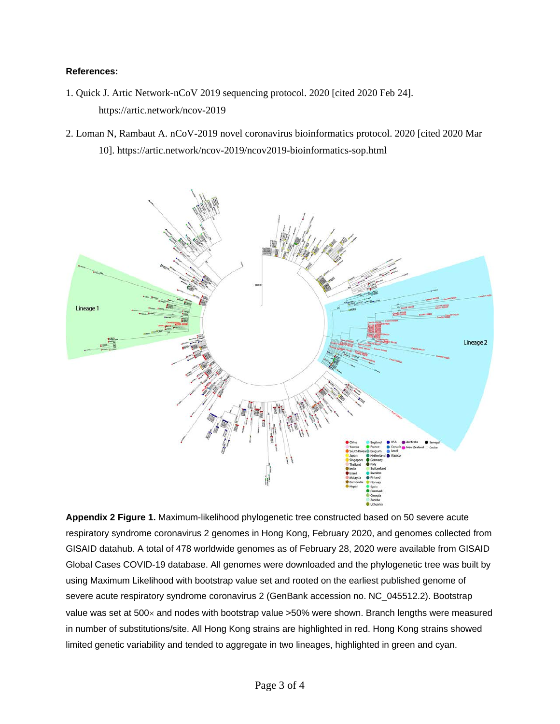#### **References:**

- 1. Quick J. Artic Network-nCoV 2019 sequencing protocol. 2020 [cited 2020 Feb 24]. https://artic.network/ncov-2019
- 2. Loman N, Rambaut A. nCoV-2019 novel coronavirus bioinformatics protocol. 2020 [cited 2020 Mar 10]. https://artic.network/ncov-2019/ncov2019-bioinformatics-sop.html



**Appendix 2 Figure 1.** Maximum-likelihood phylogenetic tree constructed based on 50 severe acute respiratory syndrome coronavirus 2 genomes in Hong Kong, February 2020, and genomes collected from GISAID datahub. A total of 478 worldwide genomes as of February 28, 2020 were available from GISAID Global Cases COVID-19 database. All genomes were downloaded and the phylogenetic tree was built by using Maximum Likelihood with bootstrap value set and rooted on the earliest published genome of severe acute respiratory syndrome coronavirus 2 (GenBank accession no. NC\_045512.2). Bootstrap value was set at 500x and nodes with bootstrap value >50% were shown. Branch lengths were measured in number of substitutions/site. All Hong Kong strains are highlighted in red. Hong Kong strains showed limited genetic variability and tended to aggregate in two lineages, highlighted in green and cyan.